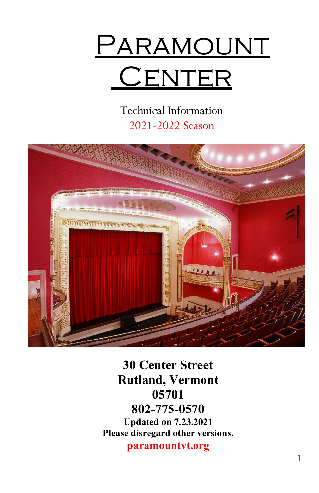

Technical Information 2021-2022 Season



**30 Center Street Rutland, Vermont 05701 802-775-0570 Updated on 7.23.2021 Please disregard other versions.**

**paramountvt.org**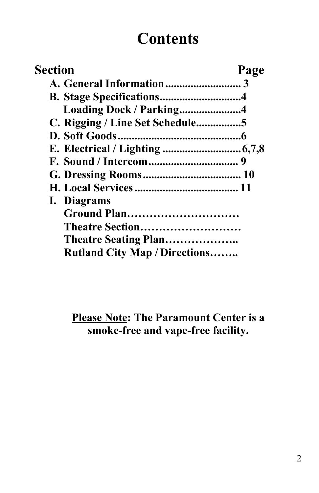# **Contents**

| Section                              | Page |
|--------------------------------------|------|
|                                      |      |
|                                      |      |
| Loading Dock / Parking4              |      |
| C. Rigging / Line Set Schedule5      |      |
|                                      |      |
|                                      |      |
|                                      |      |
|                                      |      |
|                                      |      |
| I. Diagrams                          |      |
| <b>Ground Plan</b>                   |      |
| Theatre Section                      |      |
| Theatre Seating Plan                 |      |
| <b>Rutland City Map / Directions</b> |      |

**Please Note: The Paramount Center is a smoke-free and vape-free facility.**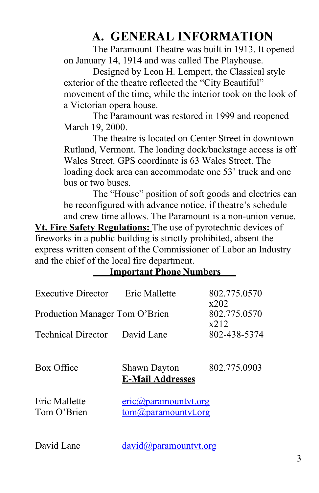# **A. GENERAL INFORMATION**

<span id="page-2-0"></span>The Paramount Theatre was built in 1913. It opened on January 14, 1914 and was called The Playhouse.

Designed by Leon H. Lempert, the Classical style exterior of the theatre reflected the "City Beautiful" movement of the time, while the interior took on the look of a Victorian opera house.

The Paramount was restored in 1999 and reopened March 19, 2000.

The theatre is located on Center Street in downtown Rutland, Vermont. The loading dock/backstage access is off Wales Street. GPS coordinate is 63 Wales Street. The loading dock area can accommodate one 53' truck and one bus or two buses.

The "House" position of soft goods and electrics can be reconfigured with advance notice, if theatre's schedule and crew time allows. The Paramount is a non-union venue. **Vt. Fire Safety Regulations:** The use of pyrotechnic devices of fireworks in a public building is strictly prohibited, absent the express written consent of the Commissioner of Labor an Industry and the chief of the local fire department.

#### **Important Phone Numbers**

| <b>Executive Director</b>      | Eric Mallette                                                    | 802.775.0570         |
|--------------------------------|------------------------------------------------------------------|----------------------|
| Production Manager Tom O'Brien |                                                                  | x202<br>802.775.0570 |
| <b>Technical Director</b>      | David Lane                                                       | x212<br>802-438-5374 |
| Box Office                     | <b>Shawn Dayton</b><br><b>E-Mail Addresses</b>                   | 802.775.0903         |
| Eric Mallette<br>Tom O'Brien   | $eric(\omega)$ paramountyt.org<br>$tom(\theta)$ paramounty t.org |                      |

David Lane [david@paramountvt.org](mailto:david@paramountvt.org)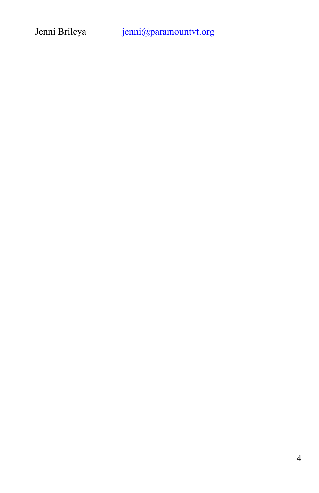Jenni Brileya [jenni@paramountvt.org](mailto:jenni@paramountvt.org)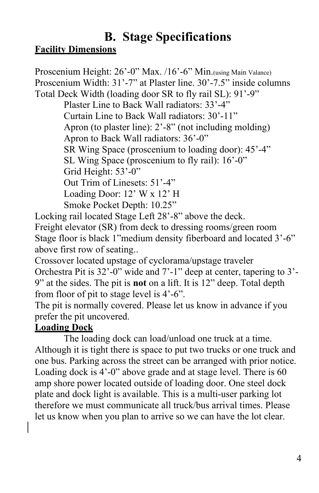### <span id="page-4-0"></span>**B. Stage Specifications Facility Dimensions**

Proscenium Height: 26'-0" Max. /16'-6" Min. (using Main Valance) Proscenium Width: 31'-7" at Plaster line. 30'-7.5" inside columns Total Deck Width (loading door SR to fly rail SL): 91'-9" Plaster Line to Back Wall radiators: 33'-4" Curtain Line to Back Wall radiators: 30'-11" Apron (to plaster line): 2'-8" (not including molding) Apron to Back Wall radiators: 36'-0" SR Wing Space (proscenium to loading door): 45'-4" SL Wing Space (proscenium to fly rail): 16'-0" Grid Height: 53'-0" Out Trim of Linesets: 51'-4" Loading Door: 12' W x 12' H Smoke Pocket Depth: 10.25"

Locking rail located Stage Left 28'-8" above the deck. Freight elevator (SR) from deck to dressing rooms/green room Stage floor is black 1"medium density fiberboard and located 3'-6" above first row of seating..

Crossover located upstage of cyclorama/upstage traveler Orchestra Pit is 32'-0" wide and 7'-1" deep at center, tapering to 3'- 9" at the sides. The pit is **not** on a lift. It is 12" deep. Total depth from floor of pit to stage level is 4'-6".

The pit is normally covered. Please let us know in advance if you prefer the pit uncovered.

#### **Loading Dock**

The loading dock can load/unload one truck at a time. Although it is tight there is space to put two trucks or one truck and one bus. Parking across the street can be arranged with prior notice. Loading dock is 4'-0" above grade and at stage level. There is 60 amp shore power located outside of loading door. One steel dock plate and dock light is available. This is a multi-user parking lot therefore we must communicate all truck/bus arrival times. Please let us know when you plan to arrive so we can have the lot clear.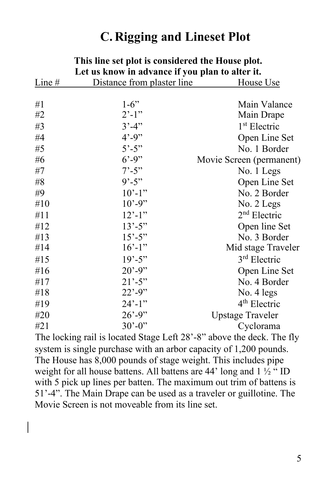# **C. Rigging and Lineset Plot**

| Let us know in advance if you plan to alter it. |                            |                          |
|-------------------------------------------------|----------------------------|--------------------------|
| Line $#$                                        | Distance from plaster line | House Use                |
|                                                 |                            |                          |
| #1                                              | $1-6"$                     | Main Valance             |
| #2                                              | $2^{\prime}$ -1"           | Main Drape               |
| #3                                              | $3' - 4'$                  | 1 <sup>st</sup> Electric |
| #4                                              | $4' - 9''$                 | Open Line Set            |
| #5                                              | $5^{\circ} - 5^{\circ}$    | No. 1 Border             |
| #6                                              | $6' - 9''$                 | Movie Screen (permanent) |
| #7                                              | $7^{\circ} - 5^{\circ}$    | No. 1 Legs               |
| #8                                              | $9' - 5''$                 | Open Line Set            |
| #9                                              | $10' - 1"$                 | No. 2 Border             |
| #10                                             | $10' - 9''$                | No. 2 Legs               |
| #11                                             | $12' - 1''$                | $2nd$ Electric           |
| #12                                             | $13' - 5''$                | Open line Set            |
| #13                                             | $15' - 5''$                | No. 3 Border             |
| #14                                             | $16' - 1$ "                | Mid stage Traveler       |
| #15                                             | $19' - 5''$                | 3rd Electric             |
| #16                                             | $20' - 9''$                | Open Line Set            |
| #17                                             | $21' - 5''$                | No. 4 Border             |
| #18                                             | $22' - 9''$                | No. 4 legs               |
| #19                                             | $24' - 1''$                | 4 <sup>th</sup> Electric |
| #20                                             | $26' - 9''$                | <b>Upstage Traveler</b>  |
| #21                                             | $30^{\circ} - 0$ "         | Cyclorama                |
|                                                 |                            |                          |

# **This line set plot is considered the House plot.**

The locking rail is located Stage Left 28'-8" above the deck. The fly system is single purchase with an arbor capacity of 1,200 pounds. The House has 8,000 pounds of stage weight. This includes pipe weight for all house battens. All battens are 44' long and 1  $\frac{1}{2}$  " ID with 5 pick up lines per batten. The maximum out trim of battens is 51'-4". The Main Drape can be used as a traveler or guillotine. The Movie Screen is not moveable from its line set.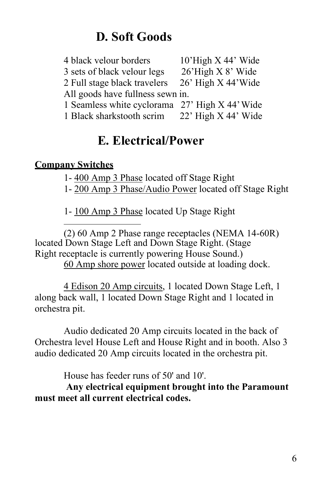# **D. Soft Goods**

<span id="page-6-0"></span>

| 4 black velour borders                         | $10'$ High X 44' Wide |
|------------------------------------------------|-----------------------|
| 3 sets of black velour legs                    | 26'High X 8' Wide     |
| 2 Full stage black travelers                   | 26' High X 44' Wide   |
| All goods have fullness sewn in.               |                       |
| 1 Seamless white cyclorama 27' High X 44' Wide |                       |
| 1 Black sharkstooth scrim                      | $22'$ High X 44' Wide |
|                                                |                       |

# **E. Electrical/Power**

#### **Company Switches**

1- 400 Amp 3 Phase located off Stage Right

1- 200 Amp 3 Phase/Audio Power located off Stage Right

1- 100 Amp 3 Phase located Up Stage Right

(2) 60 Amp 2 Phase range receptacles (NEMA 14-60R) located Down Stage Left and Down Stage Right. (Stage Right receptacle is currently powering House Sound.) 60 Amp shore power located outside at loading dock.

4 Edison 20 Amp circuits, 1 located Down Stage Left, 1 along back wall, 1 located Down Stage Right and 1 located in orchestra pit.

Audio dedicated 20 Amp circuits located in the back of Orchestra level House Left and House Right and in booth. Also 3 audio dedicated 20 Amp circuits located in the orchestra pit.

House has feeder runs of 50' and 10'.

**Any electrical equipment brought into the Paramount must meet all current electrical codes.**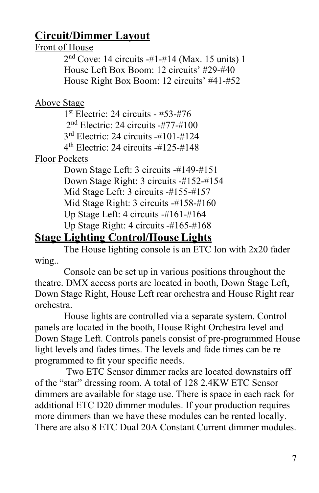# **Circuit/Dimmer Layout**

#### Front of House

2nd Cove: 14 circuits -#1-#14 (Max. 15 units) 1 House Left Box Boom: 12 circuits' #29-#40 House Right Box Boom: 12 circuits' #41-#52

#### Above Stage

1st Electric: 24 circuits - #53-#76 2nd Electric: 24 circuits -#77-#100 3rd Electric: 24 circuits -#101-#124  $4<sup>th</sup>$  Electric: 24 circuits  $-#125-#148$ 

### Floor Pockets

Down Stage Left: 3 circuits -#149-#151 Down Stage Right: 3 circuits -#152-#154 Mid Stage Left: 3 circuits -#155-#157 Mid Stage Right: 3 circuits -#158-#160 Up Stage Left: 4 circuits -#161-#164 Up Stage Right: 4 circuits -#165-#168

# **Stage Lighting Control/House Lights**

The House lighting console is an ETC Ion with 2x20 fader wing..

Console can be set up in various positions throughout the theatre. DMX access ports are located in booth, Down Stage Left, Down Stage Right, House Left rear orchestra and House Right rear orchestra.

House lights are controlled via a separate system. Control panels are located in the booth, House Right Orchestra level and Down Stage Left. Controls panels consist of pre-programmed House light levels and fades times. The levels and fade times can be re programmed to fit your specific needs.

Two ETC Sensor dimmer racks are located downstairs off of the "star" dressing room. A total of 128 2.4KW ETC Sensor dimmers are available for stage use. There is space in each rack for additional ETC D20 dimmer modules. If your production requires more dimmers than we have these modules can be rented locally. There are also 8 ETC Dual 20A Constant Current dimmer modules.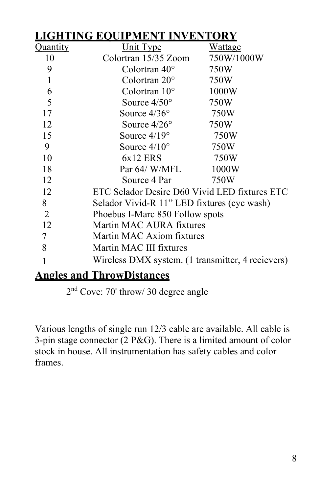| TING EOUIPMENT INVENTORY |                                                   |                                             |  |
|--------------------------|---------------------------------------------------|---------------------------------------------|--|
| Quantity                 | Unit Type                                         | <u>Wattage</u>                              |  |
| 10                       | Colortran 15/35 Zoom                              | 750W/1000W                                  |  |
| 9                        | Colortran $40^{\circ}$                            | 750W                                        |  |
| 1                        | Colortran $20^{\circ}$                            | 750W                                        |  |
| 6                        | Colortran $10^{\circ}$                            | 1000W                                       |  |
| 5                        | Source $4/50^{\circ}$                             | 750W                                        |  |
| 17                       | Source $4/36^{\circ}$                             | 750W                                        |  |
| 12                       | Source $4/26^{\circ}$                             | 750W                                        |  |
| 15                       | Source $4/19^\circ$                               | 750W                                        |  |
| 9                        | Source $4/10^{\circ}$                             | 750W                                        |  |
| 10                       | $6x12$ ERS                                        | 750W                                        |  |
| 18                       | Par 64/ W/MFL                                     | 1000W                                       |  |
| 12                       | Source 4 Par                                      | 750W                                        |  |
| 12                       | ETC Selador Desire D60 Vivid LED fixtures ETC     |                                             |  |
| 8                        |                                                   | Selador Vivid-R 11" LED fixtures (cyc wash) |  |
| $\overline{2}$           | Phoebus I-Marc 850 Follow spots                   |                                             |  |
| 12                       | Martin MAC AURA fixtures                          |                                             |  |
| 7                        | Martin MAC Axiom fixtures                         |                                             |  |
| 8                        | Martin MAC III fixtures                           |                                             |  |
|                          | Wireless DMX system. (1 transmitter, 4 recievers) |                                             |  |
|                          |                                                   |                                             |  |

### **Angles and ThrowDistances**

2nd Cove: 70' throw/ 30 degree angle

Various lengths of single run 12/3 cable are available. All cable is 3-pin stage connector (2 P&G). There is a limited amount of color stock in house. All instrumentation has safety cables and color frames.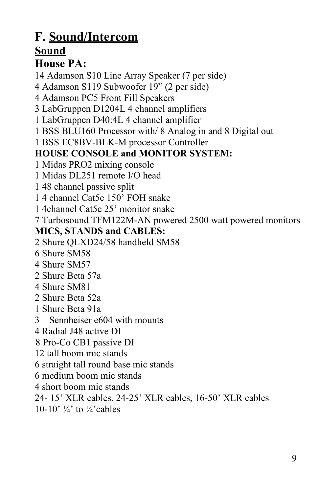### <span id="page-9-0"></span>**F. Sound/Intercom Sound House PA:**

14 Adamson S10 Line Array Speaker (7 per side)

4 Adamson S119 Subwoofer 19" (2 per side)

4 Adamson PC5 Front Fill Speakers

3 LabGruppen D1204L 4 channel amplifiers

1 LabGruppen D40:4L 4 channel amplifier

1 BSS BLU160 Processor with/ 8 Analog in and 8 Digital out

1 BSS EC8BV-BLK-M processor Controller

#### **HOUSE CONSOLE and MONITOR SYSTEM:**

1 Midas PRO2 mixing console

1 Midas DL251 remote I/O head

1 48 channel passive split

1 4 channel Cat5e 150' FOH snake

1 4channel Cat5e 25' monitor snake

7 Turbosound TFM122M-AN powered 2500 watt powered monitors

#### **MICS, STANDS and CABLES:**

2 Shure QLXD24/58 handheld SM58

- 6 Shure SM58
- 4 Shure SM57
- 2 Shure Beta 57a
- 4 Shure SM81
- 2 Shure Beta 52a
- 1 Shure Beta 91a
- 3 Sennheiser e604 with mounts
- 4 Radial J48 active DI

8 Pro-Co CB1 passive DI

12 tall boom mic stands

6 straight tall round base mic stands

6 medium boom mic stands

4 short boom mic stands

24- 15' XLR cables, 24-25' XLR cables, 16-50' XLR cables

10-10'  $\frac{1}{4}$  to  $\frac{1}{4}$  cables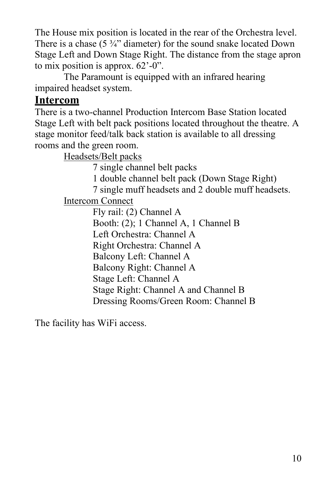The House mix position is located in the rear of the Orchestra level. There is a chase  $(5 \frac{3}{4})$  diameter) for the sound snake located Down Stage Left and Down Stage Right. The distance from the stage apron to mix position is approx. 62'-0".

The Paramount is equipped with an infrared hearing impaired headset system.

#### **Intercom**

There is a two-channel Production Intercom Base Station located Stage Left with belt pack positions located throughout the theatre. A stage monitor feed/talk back station is available to all dressing rooms and the green room.

Headsets/Belt packs

7 single channel belt packs

1 double channel belt pack (Down Stage Right)

7 single muff headsets and 2 double muff headsets.

Intercom Connect

Fly rail: (2) Channel A Booth: (2); 1 Channel A, 1 Channel B Left Orchestra: Channel A Right Orchestra: Channel A Balcony Left: Channel A Balcony Right: Channel A Stage Left: Channel A Stage Right: Channel A and Channel B Dressing Rooms/Green Room: Channel B

The facility has WiFi access.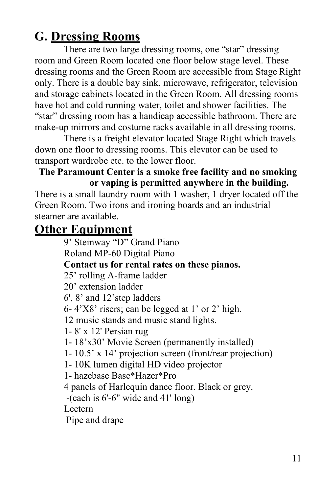# <span id="page-11-0"></span>**G. Dressing Rooms**

There are two large dressing rooms, one "star" dressing room and Green Room located one floor below stage level. These dressing rooms and the Green Room are accessible from Stage Right only. There is a double bay sink, microwave, refrigerator, television and storage cabinets located in the Green Room. All dressing rooms have hot and cold running water, toilet and shower facilities. The "star" dressing room has a handicap accessible bathroom. There are make-up mirrors and costume racks available in all dressing rooms.

There is a freight elevator located Stage Right which travels down one floor to dressing rooms. This elevator can be used to transport wardrobe etc. to the lower floor.

#### **The Paramount Center is a smoke free facility and no smoking or vaping is permitted anywhere in the building.**

There is a small laundry room with 1 washer, 1 dryer located off the Green Room. Two irons and ironing boards and an industrial steamer are available.

# **Other Equipment**

9' Steinway "D" Grand Piano

Roland MP-60 Digital Piano

#### **Contact us for rental rates on these pianos.**

25' rolling A-frame ladder

20' extension ladder

6', 8' and 12'step ladders

6- 4'X8' risers; can be legged at 1' or 2' high.

12 music stands and music stand lights.

1- 8' x 12' Persian rug

1- 18'x30' Movie Screen (permanently installed)

1- 10.5' x 14' projection screen (front/rear projection)

1- 10K lumen digital HD video projector

1- hazebase Base\*Hazer\*Pro

4 panels of Harlequin dance floor. Black or grey.

-(each is 6'-6" wide and 41' long)

Lectern

Pipe and drape